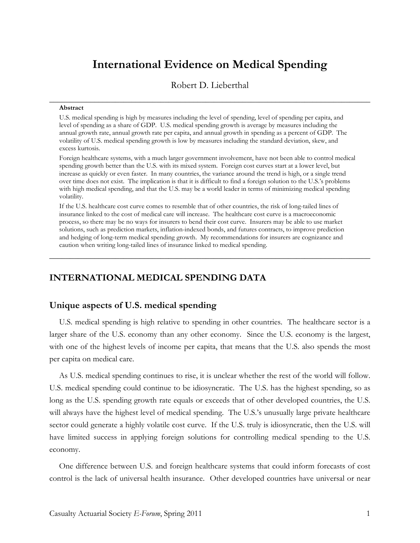# **International Evidence on Medical Spending**

Robert D. Lieberthal

**\_\_\_\_\_\_\_\_\_\_\_\_\_\_\_\_\_\_\_\_\_\_\_\_\_\_\_\_\_\_\_\_\_\_\_\_\_\_\_\_\_\_\_\_\_\_\_\_\_\_\_\_\_\_\_\_\_\_\_\_\_\_\_\_\_\_\_\_\_\_\_\_\_\_\_\_\_\_**

#### **Abstract**

U.S. medical spending is high by measures including the level of spending, level of spending per capita, and level of spending as a share of GDP. U.S. medical spending growth is average by measures including the annual growth rate, annual growth rate per capita, and annual growth in spending as a percent of GDP. The volatility of U.S. medical spending growth is low by measures including the standard deviation, skew, and excess kurtosis.

Foreign healthcare systems, with a much larger government involvement, have not been able to control medical spending growth better than the U.S. with its mixed system. Foreign cost curves start at a lower level, but increase as quickly or even faster. In many countries, the variance around the trend is high, or a single trend over time does not exist. The implication is that it is difficult to find a foreign solution to the U.S.'s problems with high medical spending, and that the U.S. may be a world leader in terms of minimizing medical spending volatility.

If the U.S. healthcare cost curve comes to resemble that of other countries, the risk of long-tailed lines of insurance linked to the cost of medical care will increase. The healthcare cost curve is a macroeconomic process, so there may be no ways for insurers to bend their cost curve. Insurers may be able to use market solutions, such as prediction markets, inflation-indexed bonds, and futures contracts, to improve prediction and hedging of long-term medical spending growth. My recommendations for insurers are cognizance and caution when writing long-tailed lines of insurance linked to medical spending.

**\_\_\_\_\_\_\_\_\_\_\_\_\_\_\_\_\_\_\_\_\_\_\_\_\_\_\_\_\_\_\_\_\_\_\_\_\_\_\_\_\_\_\_\_\_\_\_\_\_\_\_\_\_\_\_\_\_\_\_\_\_\_\_\_\_\_\_\_\_\_\_\_\_\_\_\_\_\_**

## **INTERNATIONAL MEDICAL SPENDING DATA**

## **Unique aspects of U.S. medical spending**

U.S. medical spending is high relative to spending in other countries. The healthcare sector is a larger share of the U.S. economy than any other economy. Since the U.S. economy is the largest, with one of the highest levels of income per capita, that means that the U.S. also spends the most per capita on medical care.

As U.S. medical spending continues to rise, it is unclear whether the rest of the world will follow. U.S. medical spending could continue to be idiosyncratic. The U.S. has the highest spending, so as long as the U.S. spending growth rate equals or exceeds that of other developed countries, the U.S. will always have the highest level of medical spending. The U.S.'s unusually large private healthcare sector could generate a highly volatile cost curve. If the U.S. truly is idiosyncratic, then the U.S. will have limited success in applying foreign solutions for controlling medical spending to the U.S. economy.

One difference between U.S. and foreign healthcare systems that could inform forecasts of cost control is the lack of universal health insurance. Other developed countries have universal or near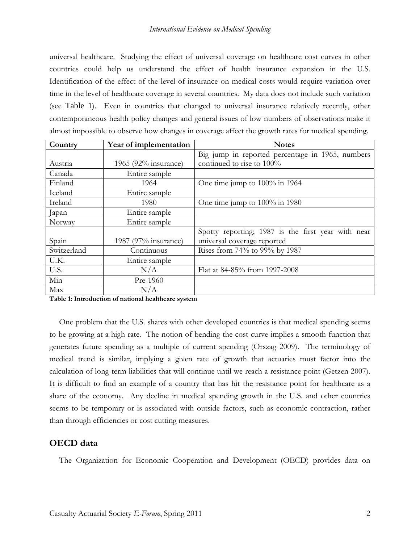## *International Evidence on Medical Spending*

universal healthcare. Studying the effect of universal coverage on healthcare cost curves in other countries could help us understand the effect of health insurance expansion in the U.S. Identification of the effect of the level of insurance on medical costs would require variation over time in the level of healthcare coverage in several countries. My data does not include such variation (see Table 1). Even in countries that changed to universal insurance relatively recently, other contemporaneous health policy changes and general issues of low numbers of observations make it almost impossible to observe how changes in coverage affect the growth rates for medical spending.

| Country     | Year of implementation | <b>Notes</b>                                       |
|-------------|------------------------|----------------------------------------------------|
|             |                        | Big jump in reported percentage in 1965, numbers   |
| Austria     | 1965 (92% insurance)   | continued to rise to 100%                          |
| Canada      | Entire sample          |                                                    |
| Finland     | 1964                   | One time jump to 100% in 1964                      |
| Iceland     | Entire sample          |                                                    |
| Ireland     | 1980                   | One time jump to 100% in 1980                      |
| Japan       | Entire sample          |                                                    |
| Norway      | Entire sample          |                                                    |
|             |                        | Spotty reporting; 1987 is the first year with near |
| Spain       | 1987 (97% insurance)   | universal coverage reported                        |
| Switzerland | Continuous             | Rises from 74% to 99% by 1987                      |
| U.K.        | Entire sample          |                                                    |
| U.S.        | N/A                    | Flat at 84-85% from 1997-2008                      |
| Min         | Pre-1960               |                                                    |
| Max         | N/A                    |                                                    |

**Table 1: Introduction of national healthcare system** 

One problem that the U.S. shares with other developed countries is that medical spending seems to be growing at a high rate. The notion of bending the cost curve implies a smooth function that generates future spending as a multiple of current spending (Orszag 2009). The terminology of medical trend is similar, implying a given rate of growth that actuaries must factor into the calculation of long-term liabilities that will continue until we reach a resistance point (Getzen 2007). It is difficult to find an example of a country that has hit the resistance point for healthcare as a share of the economy. Any decline in medical spending growth in the U.S. and other countries seems to be temporary or is associated with outside factors, such as economic contraction, rather than through efficiencies or cost cutting measures.

# **OECD data**

The Organization for Economic Cooperation and Development (OECD) provides data on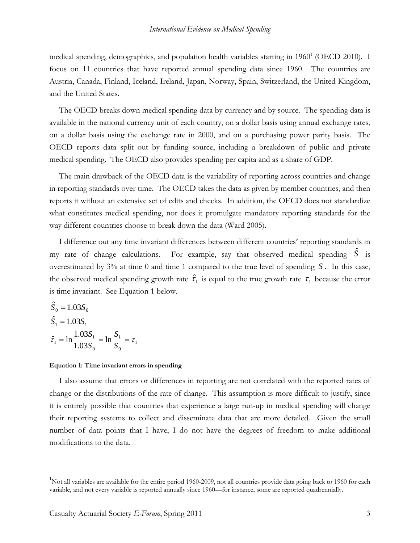medical spending, demographics, and population health variables starting in 1960<sup>1</sup> (OECD 2010). I focus on 11 countries that have reported annual spending data since 1960. The countries are Austria, Canada, Finland, Iceland, Ireland, Japan, Norway, Spain, Switzerland, the United Kingdom, and the United States.

The OECD breaks down medical spending data by currency and by source. The spending data is available in the national currency unit of each country, on a dollar basis using annual exchange rates, on a dollar basis using the exchange rate in 2000, and on a purchasing power parity basis. The OECD reports data split out by funding source, including a breakdown of public and private medical spending. The OECD also provides spending per capita and as a share of GDP.

The main drawback of the OECD data is the variability of reporting across countries and change in reporting standards over time. The OECD takes the data as given by member countries, and then reports it without an extensive set of edits and checks. In addition, the OECD does not standardize what constitutes medical spending, nor does it promulgate mandatory reporting standards for the way different countries choose to break down the data (Ward 2005).

I difference out any time invariant differences between different countries' reporting standards in my rate of change calculations. For example, say that observed medical spending  $\hat{S}$  is overestimated by 3% at time 0 and time 1 compared to the true level of spending *S* . In this case, the observed medical spending growth rate  $\hat{\tau}_1$  is equal to the true growth rate  $\tau_1$  because the error is time invariant. See Equation 1 below.

$$
\hat{S}_0 = 1.03S_0
$$
  
\n
$$
\hat{S}_1 = 1.03S_1
$$
  
\n
$$
\hat{\tau}_1 = \ln \frac{1.03S_1}{1.03S_0} = \ln \frac{S_1}{S_0} = \tau_1
$$

 $\overline{a}$ 

#### **Equation 1: Time invariant errors in spending**

I also assume that errors or differences in reporting are not correlated with the reported rates of change or the distributions of the rate of change. This assumption is more difficult to justify, since it is entirely possible that countries that experience a large run-up in medical spending will change their reporting systems to collect and disseminate data that are more detailed. Given the small number of data points that I have, I do not have the degrees of freedom to make additional modifications to the data.

<sup>&</sup>lt;sup>1</sup>Not all variables are available for the entire period 1960-2009, not all countries provide data going back to 1960 for each variable, and not every variable is reported annually since 1960—for instance, some are reported quadrennially.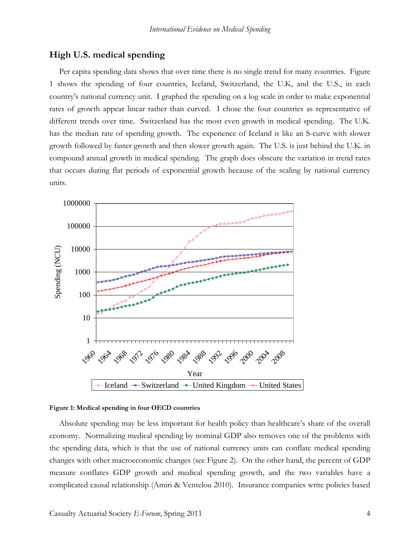## **High U.S. medical spending**

Per capita spending data shows that over time there is no single trend for many countries. Figure 1 shows the spending of four countries, Iceland, Switzerland, the U.K, and the U.S., in each country's national currency unit. I graphed the spending on a log scale in order to make exponential rates of growth appear linear rather than curved. I chose the four countries as representative of different trends over time. Switzerland has the most even growth in medical spending. The U.K. has the median rate of spending growth. The experience of Iceland is like an S-curve with slower growth followed by faster growth and then slower growth again. The U.S. is just behind the U.K. in compound annual growth in medical spending. The graph does obscure the variation in trend rates that occurs during flat periods of exponential growth because of the scaling by national currency units.



#### **Figure 1: Medical spending in four OECD countries**

Absolute spending may be less important for health policy than healthcare's share of the overall economy. Normalizing medical spending by nominal GDP also removes one of the problems with the spending data, which is that the use of national currency units can conflate medical spending changes with other macroeconomic changes (see Figure 2). On the other hand, the percent of GDP measure conflates GDP growth and medical spending growth, and the two variables have a complicated causal relationship (Amiri & Ventelou 2010). Insurance companies write policies based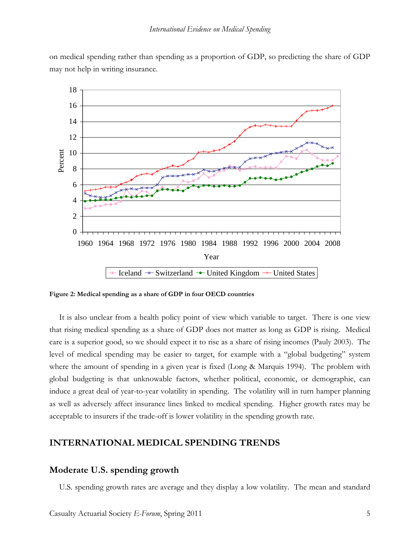



**Figure 2: Medical spending as a share of GDP in four OECD countries** 

It is also unclear from a health policy point of view which variable to target. There is one view that rising medical spending as a share of GDP does not matter as long as GDP is rising. Medical care is a superior good, so we should expect it to rise as a share of rising incomes (Pauly 2003). The level of medical spending may be easier to target, for example with a "global budgeting" system where the amount of spending in a given year is fixed (Long & Marquis 1994). The problem with global budgeting is that unknowable factors, whether political, economic, or demographic, can induce a great deal of year-to-year volatility in spending. The volatility will in turn hamper planning as well as adversely affect insurance lines linked to medical spending. Higher growth rates may be acceptable to insurers if the trade-off is lower volatility in the spending growth rate.

## **INTERNATIONAL MEDICAL SPENDING TRENDS**

#### **Moderate U.S. spending growth**

U.S. spending growth rates are average and they display a low volatility. The mean and standard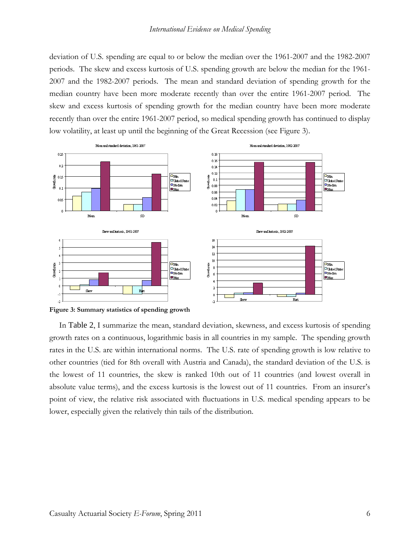deviation of U.S. spending are equal to or below the median over the 1961-2007 and the 1982-2007 periods. The skew and excess kurtosis of U.S. spending growth are below the median for the 1961- 2007 and the 1982-2007 periods. The mean and standard deviation of spending growth for the median country have been more moderate recently than over the entire 1961-2007 period. The skew and excess kurtosis of spending growth for the median country have been more moderate recently than over the entire 1961-2007 period, so medical spending growth has continued to display low volatility, at least up until the beginning of the Great Recession (see Figure 3).



**Figure 3: Summary statistics of spending growth** 

In Table 2, I summarize the mean, standard deviation, skewness, and excess kurtosis of spending growth rates on a continuous, logarithmic basis in all countries in my sample. The spending growth rates in the U.S. are within international norms. The U.S. rate of spending growth is low relative to other countries (tied for 8th overall with Austria and Canada), the standard deviation of the U.S. is the lowest of 11 countries, the skew is ranked 10th out of 11 countries (and lowest overall in absolute value terms), and the excess kurtosis is the lowest out of 11 countries. From an insurer's point of view, the relative risk associated with fluctuations in U.S. medical spending appears to be lower, especially given the relatively thin tails of the distribution.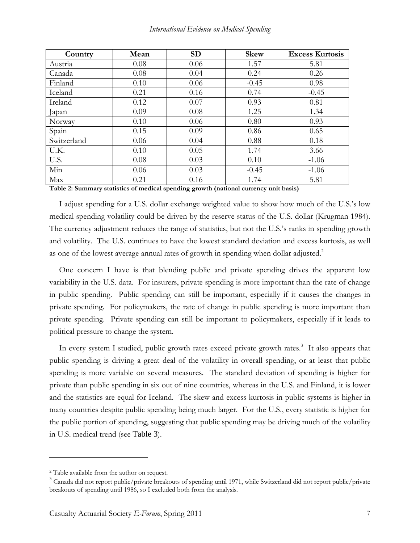| Country     | Mean | <b>SD</b> | <b>Skew</b> | <b>Excess Kurtosis</b> |
|-------------|------|-----------|-------------|------------------------|
| Austria     | 0.08 | 0.06      | 1.57        | 5.81                   |
| Canada      | 0.08 | 0.04      | 0.24        | 0.26                   |
| Finland     | 0.10 | 0.06      | $-0.45$     | 0.98                   |
| Iceland     | 0.21 | 0.16      | 0.74        | $-0.45$                |
| Ireland     | 0.12 | 0.07      | 0.93        | 0.81                   |
| apan        | 0.09 | 0.08      | 1.25        | 1.34                   |
| Norway      | 0.10 | 0.06      | 0.80        | 0.93                   |
| Spain       | 0.15 | 0.09      | 0.86        | 0.65                   |
| Switzerland | 0.06 | 0.04      | 0.88        | 0.18                   |
| U.K.        | 0.10 | 0.05      | 1.74        | 3.66                   |
| U.S.        | 0.08 | 0.03      | 0.10        | $-1.06$                |
| Min         | 0.06 | 0.03      | $-0.45$     | $-1.06$                |
| Max         | 0.21 | 0.16      | 1.74        | 5.81                   |

**Table 2: Summary statistics of medical spending growth (national currency unit basis)** 

I adjust spending for a U.S. dollar exchange weighted value to show how much of the U.S.'s low medical spending volatility could be driven by the reserve status of the U.S. dollar (Krugman 1984). The currency adjustment reduces the range of statistics, but not the U.S.'s ranks in spending growth and volatility. The U.S. continues to have the lowest standard deviation and excess kurtosis, as well as one of the lowest average annual rates of growth in spending when dollar adjusted.<sup>2</sup>

One concern I have is that blending public and private spending drives the apparent low variability in the U.S. data. For insurers, private spending is more important than the rate of change in public spending. Public spending can still be important, especially if it causes the changes in private spending. For policymakers, the rate of change in public spending is more important than private spending. Private spending can still be important to policymakers, especially if it leads to political pressure to change the system.

In every system I studied, public growth rates exceed private growth rates.<sup>3</sup> It also appears that public spending is driving a great deal of the volatility in overall spending, or at least that public spending is more variable on several measures. The standard deviation of spending is higher for private than public spending in six out of nine countries, whereas in the U.S. and Finland, it is lower and the statistics are equal for Iceland. The skew and excess kurtosis in public systems is higher in many countries despite public spending being much larger. For the U.S., every statistic is higher for the public portion of spending, suggesting that public spending may be driving much of the volatility in U.S. medical trend (see Table 3).

<sup>2</sup> Table available from the author on request.

<sup>&</sup>lt;sup>3</sup> Canada did not report public/private breakouts of spending until 1971, while Switzerland did not report public/private breakouts of spending until 1986, so I excluded both from the analysis.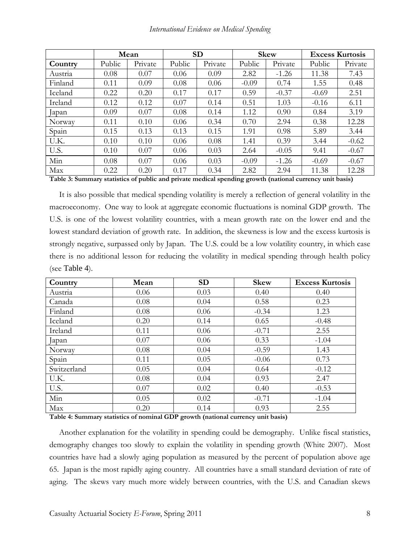|         |        | Mean    |        | <b>SD</b> |         | <b>Skew</b> |         | <b>Excess Kurtosis</b> |
|---------|--------|---------|--------|-----------|---------|-------------|---------|------------------------|
| Country | Public | Private | Public | Private   | Public  | Private     | Public  | Private                |
| Austria | 0.08   | 0.07    | 0.06   | 0.09      | 2.82    | $-1.26$     | 11.38   | 7.43                   |
| Finland | 0.11   | 0.09    | 0.08   | 0.06      | $-0.09$ | 0.74        | 1.55    | 0.48                   |
| Iceland | 0.22   | 0.20    | 0.17   | 0.17      | 0.59    | $-0.37$     | $-0.69$ | 2.51                   |
| Ireland | 0.12   | 0.12    | 0.07   | 0.14      | 0.51    | 1.03        | $-0.16$ | 6.11                   |
| lapan   | 0.09   | 0.07    | 0.08   | 0.14      | 1.12    | 0.90        | 0.84    | 3.19                   |
| Norway  | 0.11   | 0.10    | 0.06   | 0.34      | 0.70    | 2.94        | 0.38    | 12.28                  |
| Spain   | 0.15   | 0.13    | 0.13   | 0.15      | 1.91    | 0.98        | 5.89    | 3.44                   |
| U.K.    | 0.10   | 0.10    | 0.06   | 0.08      | 1.41    | 0.39        | 3.44    | $-0.62$                |
| U.S.    | 0.10   | 0.07    | 0.06   | 0.03      | 2.64    | $-0.05$     | 9.41    | $-0.67$                |
| Min     | 0.08   | 0.07    | 0.06   | 0.03      | $-0.09$ | $-1.26$     | $-0.69$ | $-0.67$                |
| Max     | 0.22   | 0.20    | 0.17   | 0.34      | 2.82    | 2.94        | 11.38   | 12.28                  |

**Table 3: Summary statistics of public and private medical spending growth (national currency unit basis)** 

It is also possible that medical spending volatility is merely a reflection of general volatility in the macroeconomy. One way to look at aggregate economic fluctuations is nominal GDP growth. The U.S. is one of the lowest volatility countries, with a mean growth rate on the lower end and the lowest standard deviation of growth rate. In addition, the skewness is low and the excess kurtosis is strongly negative, surpassed only by Japan. The U.S. could be a low volatility country, in which case there is no additional lesson for reducing the volatility in medical spending through health policy (see Table 4).

| Country     | Mean                                          | <b>SD</b> | <b>Skew</b>    | <b>Excess Kurtosis</b> |
|-------------|-----------------------------------------------|-----------|----------------|------------------------|
| Austria     | 0.06                                          | 0.03      | 0.40           | 0.40                   |
| Canada      | 0.08                                          | 0.04      | 0.58           | 0.23                   |
| Finland     | 0.08                                          | 0.06      | $-0.34$        | 1.23                   |
| Iceland     | 0.20                                          | 0.14      | 0.65           | $-0.48$                |
| Ireland     | 0.11                                          | 0.06      | $-0.71$        | 2.55                   |
| Japan       | 0.07                                          | 0.06      | 0.33           | $-1.04$                |
| Norway      | 0.08                                          | 0.04      | $-0.59$        | 1.43                   |
| Spain       | 0.11                                          | 0.05      | $-0.06$        | 0.73                   |
| Switzerland | 0.05                                          | 0.04      | 0.64           | $-0.12$                |
| U.K.        | 0.08                                          | 0.04      | 0.93           | 2.47                   |
| U.S.        | 0.07                                          | 0.02      | 0.40           | $-0.53$                |
| Min         | 0.05                                          | 0.02      | $-0.71$        | $-1.04$                |
| Max<br>.    | 0.20<br>$\sim$ $\sim$ $\sim$<br>$\sim$ $\sim$ | 0.14      | 0.93<br>$\sim$ | 2.55                   |

**Table 4: Summary statistics of nominal GDP growth (national currency unit basis)** 

Another explanation for the volatility in spending could be demography. Unlike fiscal statistics, demography changes too slowly to explain the volatility in spending growth (White 2007). Most countries have had a slowly aging population as measured by the percent of population above age 65. Japan is the most rapidly aging country. All countries have a small standard deviation of rate of aging. The skews vary much more widely between countries, with the U.S. and Canadian skews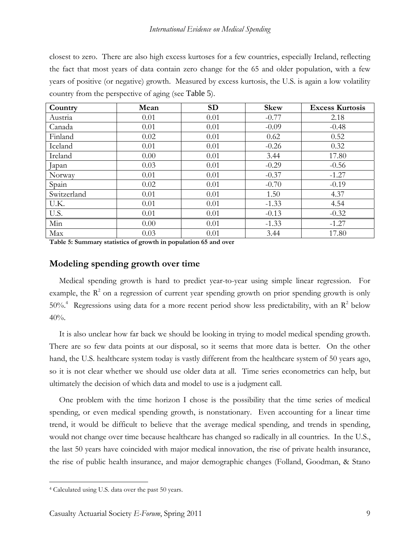closest to zero. There are also high excess kurtoses for a few countries, especially Ireland, reflecting the fact that most years of data contain zero change for the 65 and older population, with a few years of positive (or negative) growth. Measured by excess kurtosis, the U.S. is again a low volatility country from the perspective of aging (see Table 5).

| Country     | Mean | <b>SD</b> | <b>Skew</b> | <b>Excess Kurtosis</b> |
|-------------|------|-----------|-------------|------------------------|
| Austria     | 0.01 | 0.01      | $-0.77$     | 2.18                   |
| Canada      | 0.01 | 0.01      | $-0.09$     | $-0.48$                |
| Finland     | 0.02 | 0.01      | 0.62        | 0.52                   |
| Iceland     | 0.01 | 0.01      | $-0.26$     | 0.32                   |
| Ireland     | 0.00 | 0.01      | 3.44        | 17.80                  |
| Japan       | 0.03 | 0.01      | $-0.29$     | $-0.56$                |
| Norway      | 0.01 | 0.01      | $-0.37$     | $-1.27$                |
| Spain       | 0.02 | 0.01      | $-0.70$     | $-0.19$                |
| Switzerland | 0.01 | 0.01      | 1.50        | 4.37                   |
| U.K.        | 0.01 | 0.01      | $-1.33$     | 4.54                   |
| U.S.        | 0.01 | 0.01      | $-0.13$     | $-0.32$                |
| Min         | 0.00 | 0.01      | $-1.33$     | $-1.27$                |
| Max         | 0.03 | 0.01      | 3.44        | 17.80                  |

**Table 5: Summary statistics of growth in population 65 and over** 

## **Modeling spending growth over time**

Medical spending growth is hard to predict year-to-year using simple linear regression. For example, the  $R<sup>2</sup>$  on a regression of current year spending growth on prior spending growth is only 50%.<sup>4</sup> Regressions using data for a more recent period show less predictability, with an  $R^2$  below 40%.

It is also unclear how far back we should be looking in trying to model medical spending growth. There are so few data points at our disposal, so it seems that more data is better. On the other hand, the U.S. healthcare system today is vastly different from the healthcare system of 50 years ago, so it is not clear whether we should use older data at all. Time series econometrics can help, but ultimately the decision of which data and model to use is a judgment call.

One problem with the time horizon I chose is the possibility that the time series of medical spending, or even medical spending growth, is nonstationary. Even accounting for a linear time trend, it would be difficult to believe that the average medical spending, and trends in spending, would not change over time because healthcare has changed so radically in all countries. In the U.S., the last 50 years have coincided with major medical innovation, the rise of private health insurance, the rise of public health insurance, and major demographic changes (Folland, Goodman, & Stano

<sup>4</sup> Calculated using U.S. data over the past 50 years.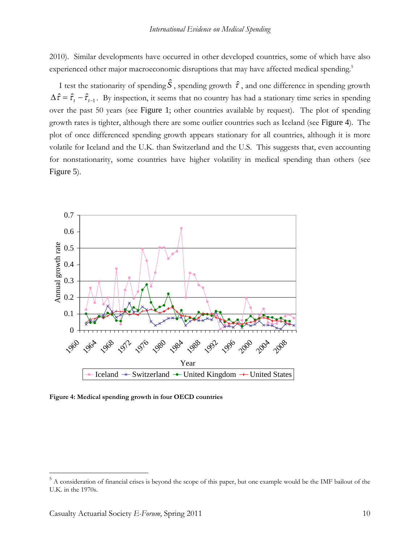2010). Similar developments have occurred in other developed countries, some of which have also experienced other major macroeconomic disruptions that may have affected medical spending.<sup>5</sup>

I test the stationarity of spending  $\hat{S}$ , spending growth  $\hat{\tau}$ , and one difference in spending growth  $\Delta \hat{\tau} = \hat{\tau}_t - \hat{\tau}_{t-1}$ . By inspection, it seems that no country has had a stationary time series in spending over the past 50 years (see Figure 1; other countries available by request). The plot of spending growth rates is tighter, although there are some outlier countries such as Iceland (see Figure 4). The plot of once differenced spending growth appears stationary for all countries, although it is more volatile for Iceland and the U.K. than Switzerland and the U.S. This suggests that, even accounting for nonstationarity, some countries have higher volatility in medical spending than others (see Figure 5).



**Figure 4: Medical spending growth in four OECD countries**

<sup>&</sup>lt;sup>5</sup> A consideration of financial crises is beyond the scope of this paper, but one example would be the IMF bailout of the U.K. in the 1970s.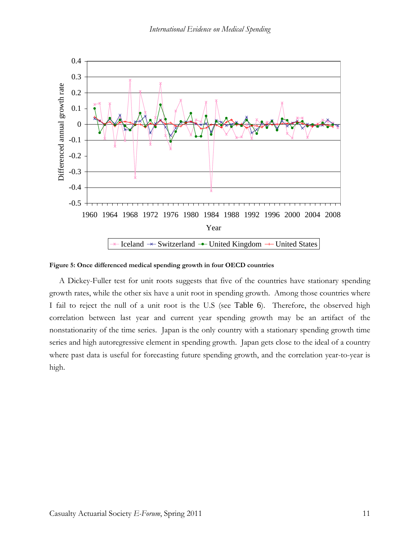

**Figure 5: Once differenced medical spending growth in four OECD countries** 

A Dickey-Fuller test for unit roots suggests that five of the countries have stationary spending growth rates, while the other six have a unit root in spending growth. Among those countries where I fail to reject the null of a unit root is the U.S (see Table 6). Therefore, the observed high correlation between last year and current year spending growth may be an artifact of the nonstationarity of the time series. Japan is the only country with a stationary spending growth time series and high autoregressive element in spending growth. Japan gets close to the ideal of a country where past data is useful for forecasting future spending growth, and the correlation year-to-year is high.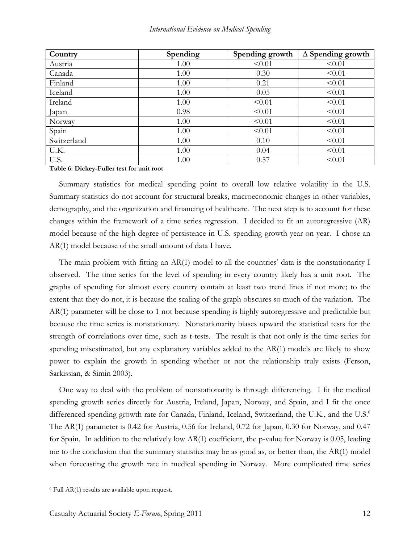| Country     | Spending | Spending growth | $\Delta$ Spending growth |
|-------------|----------|-----------------|--------------------------|
| Austria     | 1.00     | < 0.01          | < 0.01                   |
| Canada      | 1.00     | 0.30            | < 0.01                   |
| Finland     | 1.00     | 0.21            | < 0.01                   |
| Iceland     | 1.00     | 0.05            | < 0.01                   |
| Ireland     | 1.00     | < 0.01          | < 0.01                   |
| Japan       | 0.98     | < 0.01          | < 0.01                   |
| Norway      | 1.00     | < 0.01          | < 0.01                   |
| Spain       | 1.00     | < 0.01          | < 0.01                   |
| Switzerland | 1.00     | 0.10            | < 0.01                   |
| U.K.        | 1.00     | 0.04            | < 0.01                   |
| U.S.        | 1.00     | 0.57            | < 0.01                   |

**Table 6: Dickey-Fuller test for unit root** 

Summary statistics for medical spending point to overall low relative volatility in the U.S. Summary statistics do not account for structural breaks, macroeconomic changes in other variables, demography, and the organization and financing of healthcare. The next step is to account for these changes within the framework of a time series regression. I decided to fit an autoregressive (AR) model because of the high degree of persistence in U.S. spending growth year-on-year. I chose an AR(1) model because of the small amount of data I have.

The main problem with fitting an AR(1) model to all the countries' data is the nonstationarity I observed. The time series for the level of spending in every country likely has a unit root. The graphs of spending for almost every country contain at least two trend lines if not more; to the extent that they do not, it is because the scaling of the graph obscures so much of the variation. The AR(1) parameter will be close to 1 not because spending is highly autoregressive and predictable but because the time series is nonstationary. Nonstationarity biases upward the statistical tests for the strength of correlations over time, such as t-tests. The result is that not only is the time series for spending misestimated, but any explanatory variables added to the AR(1) models are likely to show power to explain the growth in spending whether or not the relationship truly exists (Ferson, Sarkissian, & Simin 2003).

One way to deal with the problem of nonstationarity is through differencing. I fit the medical spending growth series directly for Austria, Ireland, Japan, Norway, and Spain, and I fit the once differenced spending growth rate for Canada, Finland, Iceland, Switzerland, the U.K., and the U.S.<sup>6</sup> The AR(1) parameter is 0.42 for Austria, 0.56 for Ireland, 0.72 for Japan, 0.30 for Norway, and 0.47 for Spain. In addition to the relatively low AR(1) coefficient, the p-value for Norway is 0.05, leading me to the conclusion that the summary statistics may be as good as, or better than, the  $AR(1)$  model when forecasting the growth rate in medical spending in Norway. More complicated time series

<sup>6</sup> Full AR(1) results are available upon request.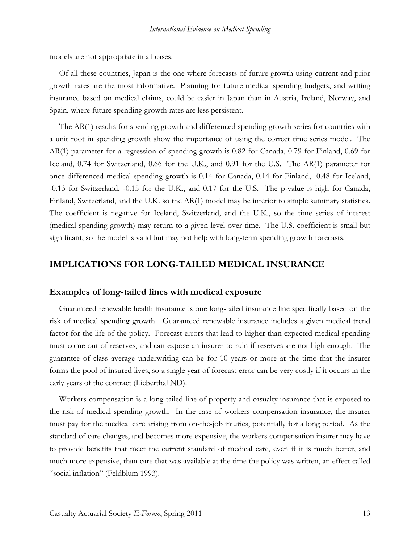models are not appropriate in all cases.

Of all these countries, Japan is the one where forecasts of future growth using current and prior growth rates are the most informative. Planning for future medical spending budgets, and writing insurance based on medical claims, could be easier in Japan than in Austria, Ireland, Norway, and Spain, where future spending growth rates are less persistent.

The AR(1) results for spending growth and differenced spending growth series for countries with a unit root in spending growth show the importance of using the correct time series model. The AR(1) parameter for a regression of spending growth is 0.82 for Canada, 0.79 for Finland, 0.69 for Iceland, 0.74 for Switzerland, 0.66 for the U.K., and 0.91 for the U.S. The AR(1) parameter for once differenced medical spending growth is 0.14 for Canada, 0.14 for Finland, -0.48 for Iceland, -0.13 for Switzerland, -0.15 for the U.K., and 0.17 for the U.S. The p-value is high for Canada, Finland, Switzerland, and the U.K. so the AR(1) model may be inferior to simple summary statistics. The coefficient is negative for Iceland, Switzerland, and the U.K., so the time series of interest (medical spending growth) may return to a given level over time. The U.S. coefficient is small but significant, so the model is valid but may not help with long-term spending growth forecasts.

## **IMPLICATIONS FOR LONG-TAILED MEDICAL INSURANCE**

## **Examples of long-tailed lines with medical exposure**

Guaranteed renewable health insurance is one long-tailed insurance line specifically based on the risk of medical spending growth. Guaranteed renewable insurance includes a given medical trend factor for the life of the policy. Forecast errors that lead to higher than expected medical spending must come out of reserves, and can expose an insurer to ruin if reserves are not high enough. The guarantee of class average underwriting can be for 10 years or more at the time that the insurer forms the pool of insured lives, so a single year of forecast error can be very costly if it occurs in the early years of the contract (Lieberthal ND).

Workers compensation is a long-tailed line of property and casualty insurance that is exposed to the risk of medical spending growth. In the case of workers compensation insurance, the insurer must pay for the medical care arising from on-the-job injuries, potentially for a long period. As the standard of care changes, and becomes more expensive, the workers compensation insurer may have to provide benefits that meet the current standard of medical care, even if it is much better, and much more expensive, than care that was available at the time the policy was written, an effect called "social inflation" (Feldblum 1993).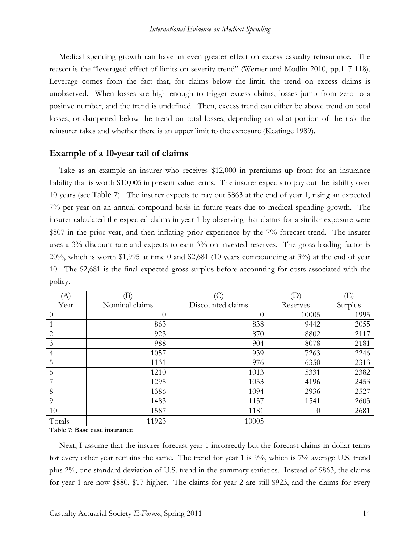Medical spending growth can have an even greater effect on excess casualty reinsurance. The reason is the "leveraged effect of limits on severity trend" (Werner and Modlin 2010, pp.117-118). Leverage comes from the fact that, for claims below the limit, the trend on excess claims is unobserved. When losses are high enough to trigger excess claims, losses jump from zero to a positive number, and the trend is undefined. Then, excess trend can either be above trend on total losses, or dampened below the trend on total losses, depending on what portion of the risk the reinsurer takes and whether there is an upper limit to the exposure (Keatinge 1989).

### **Example of a 10-year tail of claims**

Take as an example an insurer who receives \$12,000 in premiums up front for an insurance liability that is worth \$10,005 in present value terms. The insurer expects to pay out the liability over 10 years (see Table 7). The insurer expects to pay out \$863 at the end of year 1, rising an expected 7% per year on an annual compound basis in future years due to medical spending growth. The insurer calculated the expected claims in year 1 by observing that claims for a similar exposure were \$807 in the prior year, and then inflating prior experience by the 7% forecast trend. The insurer uses a 3% discount rate and expects to earn 3% on invested reserves. The gross loading factor is 20%, which is worth \$1,995 at time 0 and \$2,681 (10 years compounding at 3%) at the end of year 10. The \$2,681 is the final expected gross surplus before accounting for costs associated with the policy.

| 'A`            | (B)            |                   | (D)      | Έ       |
|----------------|----------------|-------------------|----------|---------|
| Year           | Nominal claims | Discounted claims | Reserves | Surplus |
| $\theta$       | $\theta$       | $\theta$          | 10005    | 1995    |
| 1              | 863            | 838               | 9442     | 2055    |
| $\overline{2}$ | 923            | 870               | 8802     | 2117    |
| 3              | 988            | 904               | 8078     | 2181    |
| $\overline{4}$ | 1057           | 939               | 7263     | 2246    |
| 5              | 1131           | 976               | 6350     | 2313    |
| 6              | 1210           | 1013              | 5331     | 2382    |
| 7              | 1295           | 1053              | 4196     | 2453    |
| 8              | 1386           | 1094              | 2936     | 2527    |
| 9              | 1483           | 1137              | 1541     | 2603    |
| 10             | 1587           | 1181              | $\Omega$ | 2681    |
| Totals         | 11923          | 10005             |          |         |

**Table 7: Base case insurance** 

Next, I assume that the insurer forecast year 1 incorrectly but the forecast claims in dollar terms for every other year remains the same. The trend for year 1 is 9%, which is 7% average U.S. trend plus 2%, one standard deviation of U.S. trend in the summary statistics. Instead of \$863, the claims for year 1 are now \$880, \$17 higher. The claims for year 2 are still \$923, and the claims for every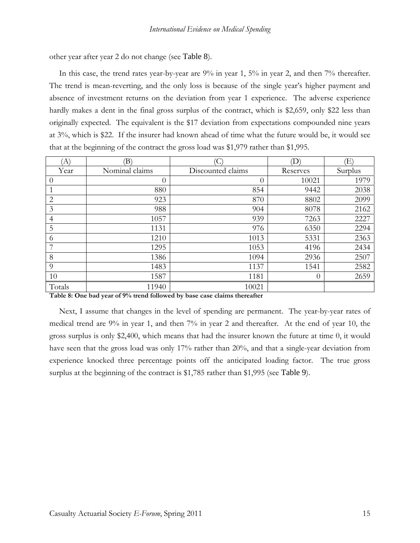other year after year 2 do not change (see Table 8).

In this case, the trend rates year-by-year are 9% in year 1, 5% in year 2, and then 7% thereafter. The trend is mean-reverting, and the only loss is because of the single year's higher payment and absence of investment returns on the deviation from year 1 experience. The adverse experience hardly makes a dent in the final gross surplus of the contract, which is \$2,659, only \$22 less than originally expected. The equivalent is the \$17 deviation from expectations compounded nine years at 3%, which is \$22. If the insurer had known ahead of time what the future would be, it would see that at the beginning of the contract the gross load was \$1,979 rather than \$1,995.

| 'A)            | $\left( \mathrm{B}\right)$ |                   | $\left(\mathrm{D}\right)$ | Έ       |
|----------------|----------------------------|-------------------|---------------------------|---------|
| Year           | Nominal claims             | Discounted claims | Reserves                  | Surplus |
| 0              | $\theta$                   | $\theta$          | 10021                     | 1979    |
|                | 880                        | 854               | 9442                      | 2038    |
| $\overline{2}$ | 923                        | 870               | 8802                      | 2099    |
| 3              | 988                        | 904               | 8078                      | 2162    |
| 4              | 1057                       | 939               | 7263                      | 2227    |
| 5              | 1131                       | 976               | 6350                      | 2294    |
| 6              | 1210                       | 1013              | 5331                      | 2363    |
|                | 1295                       | 1053              | 4196                      | 2434    |
| 8              | 1386                       | 1094              | 2936                      | 2507    |
| 9              | 1483                       | 1137              | 1541                      | 2582    |
| 10             | 1587                       | 1181              | $\theta$                  | 2659    |
| Totals         | 11940                      | 10021             |                           |         |

**Table 8: One bad year of 9% trend followed by base case claims thereafter** 

Next, I assume that changes in the level of spending are permanent. The year-by-year rates of medical trend are 9% in year 1, and then 7% in year 2 and thereafter. At the end of year 10, the gross surplus is only \$2,400, which means that had the insurer known the future at time 0, it would have seen that the gross load was only 17% rather than 20%, and that a single-year deviation from experience knocked three percentage points off the anticipated loading factor. The true gross surplus at the beginning of the contract is \$1,785 rather than \$1,995 (see Table 9).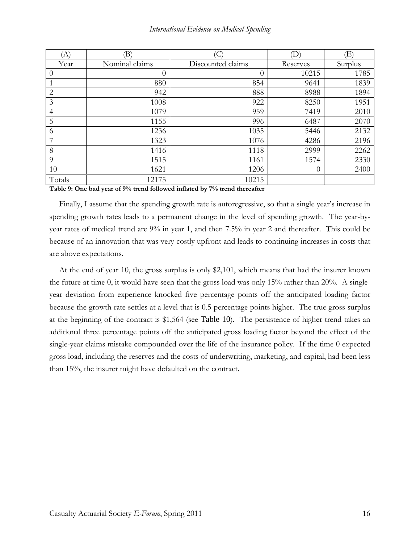| $\langle \mathrm{A} \rangle$ | (B)            |                   | (D)      | Œ)      |
|------------------------------|----------------|-------------------|----------|---------|
| Year                         | Nominal claims | Discounted claims | Reserves | Surplus |
| $\theta$                     | $\theta$       | $\theta$          | 10215    | 1785    |
|                              | 880            | 854               | 9641     | 1839    |
| $\overline{2}$               | 942            | 888               | 8988     | 1894    |
| 3                            | 1008           | 922               | 8250     | 1951    |
| 4                            | 1079           | 959               | 7419     | 2010    |
| 5                            | 1155           | 996               | 6487     | 2070    |
| 6                            | 1236           | 1035              | 5446     | 2132    |
| 7                            | 1323           | 1076              | 4286     | 2196    |
| 8                            | 1416           | 1118              | 2999     | 2262    |
| -9                           | 1515           | 1161              | 1574     | 2330    |
| 10                           | 1621           | 1206              | $\theta$ | 2400    |
| Totals                       | 12175          | 10215             |          |         |

**Table 9: One bad year of 9% trend followed inflated by 7% trend thereafter** 

Finally, I assume that the spending growth rate is autoregressive, so that a single year's increase in spending growth rates leads to a permanent change in the level of spending growth. The year-byyear rates of medical trend are 9% in year 1, and then 7.5% in year 2 and thereafter. This could be because of an innovation that was very costly upfront and leads to continuing increases in costs that are above expectations.

At the end of year 10, the gross surplus is only \$2,101, which means that had the insurer known the future at time 0, it would have seen that the gross load was only 15% rather than 20%. A singleyear deviation from experience knocked five percentage points off the anticipated loading factor because the growth rate settles at a level that is 0.5 percentage points higher. The true gross surplus at the beginning of the contract is \$1,564 (see Table 10). The persistence of higher trend takes an additional three percentage points off the anticipated gross loading factor beyond the effect of the single-year claims mistake compounded over the life of the insurance policy. If the time 0 expected gross load, including the reserves and the costs of underwriting, marketing, and capital, had been less than 15%, the insurer might have defaulted on the contract.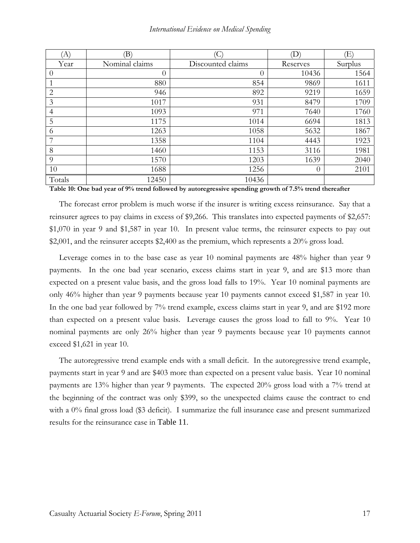| $\langle A \rangle$ | (B)            |                   | (D)      | Œ)      |
|---------------------|----------------|-------------------|----------|---------|
| Year                | Nominal claims | Discounted claims | Reserves | Surplus |
| $\theta$            | $\theta$       | $\theta$          | 10436    | 1564    |
|                     | 880            | 854               | 9869     | 1611    |
| $\overline{2}$      | 946            | 892               | 9219     | 1659    |
| 3                   | 1017           | 931               | 8479     | 1709    |
| 4                   | 1093           | 971               | 7640     | 1760    |
| 5                   | 1175           | 1014              | 6694     | 1813    |
| 6                   | 1263           | 1058              | 5632     | 1867    |
| 7                   | 1358           | 1104              | 4443     | 1923    |
| 8                   | 1460           | 1153              | 3116     | 1981    |
| 9                   | 1570           | 1203              | 1639     | 2040    |
| 10                  | 1688           | 1256              | $\theta$ | 2101    |
| Totals              | 12450          | 10436             |          |         |

**Table 10: One bad year of 9% trend followed by autoregressive spending growth of 7.5% trend thereafter** 

The forecast error problem is much worse if the insurer is writing excess reinsurance. Say that a reinsurer agrees to pay claims in excess of \$9,266. This translates into expected payments of \$2,657: \$1,070 in year 9 and \$1,587 in year 10. In present value terms, the reinsurer expects to pay out \$2,001, and the reinsurer accepts \$2,400 as the premium, which represents a 20% gross load.

Leverage comes in to the base case as year 10 nominal payments are 48% higher than year 9 payments. In the one bad year scenario, excess claims start in year 9, and are \$13 more than expected on a present value basis, and the gross load falls to 19%. Year 10 nominal payments are only 46% higher than year 9 payments because year 10 payments cannot exceed \$1,587 in year 10. In the one bad year followed by 7% trend example, excess claims start in year 9, and are \$192 more than expected on a present value basis. Leverage causes the gross load to fall to 9%. Year 10 nominal payments are only 26% higher than year 9 payments because year 10 payments cannot exceed \$1,621 in year 10.

The autoregressive trend example ends with a small deficit. In the autoregressive trend example, payments start in year 9 and are \$403 more than expected on a present value basis. Year 10 nominal payments are 13% higher than year 9 payments. The expected 20% gross load with a 7% trend at the beginning of the contract was only \$399, so the unexpected claims cause the contract to end with a 0% final gross load (\$3 deficit). I summarize the full insurance case and present summarized results for the reinsurance case in Table 11.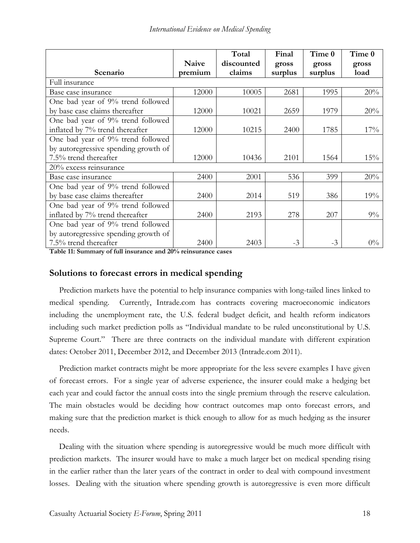|                                      |         | Total      | Final   | Time 0  | Time 0 |
|--------------------------------------|---------|------------|---------|---------|--------|
|                                      | Naive   | discounted | gross   | gross   | gross  |
| Scenario                             | premium | claims     | surplus | surplus | load   |
| Full insurance                       |         |            |         |         |        |
| Base case insurance                  | 12000   | 10005      | 2681    | 1995    | 20%    |
| One bad year of 9% trend followed    |         |            |         |         |        |
| by base case claims thereafter       | 12000   | 10021      | 2659    | 1979    | 20%    |
| One bad year of 9% trend followed    |         |            |         |         |        |
| inflated by 7% trend thereafter      | 12000   | 10215      | 2400    | 1785    | 17%    |
| One bad year of 9% trend followed    |         |            |         |         |        |
| by autoregressive spending growth of |         |            |         |         |        |
| 7.5% trend thereafter                | 12000   | 10436      | 2101    | 1564    | 15%    |
| 20% excess reinsurance               |         |            |         |         |        |
| Base case insurance                  | 2400    | 2001       | 536     | 399     | 20%    |
| One bad year of 9% trend followed    |         |            |         |         |        |
| by base case claims thereafter       | 2400    | 2014       | 519     | 386     | 19%    |
| One bad year of 9% trend followed    |         |            |         |         |        |
| inflated by 7% trend thereafter      | 2400    | 2193       | 278     | 207     | $9\%$  |
| One bad year of 9% trend followed    |         |            |         |         |        |
| by autoregressive spending growth of |         |            |         |         |        |
| 7.5% trend thereafter                | 2400    | 2403       | $-3$    | $-3$    | $0\%$  |

**Table 11: Summary of full insurance and 20% reinsurance cases** 

# **Solutions to forecast errors in medical spending**

Prediction markets have the potential to help insurance companies with long-tailed lines linked to medical spending. Currently, Intrade.com has contracts covering macroeconomic indicators including the unemployment rate, the U.S. federal budget deficit, and health reform indicators including such market prediction polls as "Individual mandate to be ruled unconstitutional by U.S. Supreme Court." There are three contracts on the individual mandate with different expiration dates: October 2011, December 2012, and December 2013 (Intrade.com 2011).

Prediction market contracts might be more appropriate for the less severe examples I have given of forecast errors. For a single year of adverse experience, the insurer could make a hedging bet each year and could factor the annual costs into the single premium through the reserve calculation. The main obstacles would be deciding how contract outcomes map onto forecast errors, and making sure that the prediction market is thick enough to allow for as much hedging as the insurer needs.

Dealing with the situation where spending is autoregressive would be much more difficult with prediction markets. The insurer would have to make a much larger bet on medical spending rising in the earlier rather than the later years of the contract in order to deal with compound investment losses. Dealing with the situation where spending growth is autoregressive is even more difficult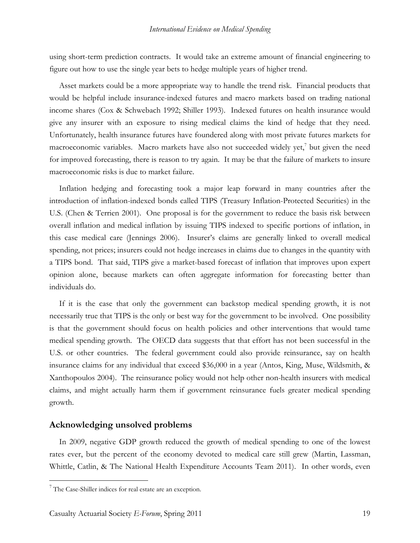using short-term prediction contracts. It would take an extreme amount of financial engineering to figure out how to use the single year bets to hedge multiple years of higher trend.

Asset markets could be a more appropriate way to handle the trend risk. Financial products that would be helpful include insurance-indexed futures and macro markets based on trading national income shares (Cox & Schwebach 1992; Shiller 1993). Indexed futures on health insurance would give any insurer with an exposure to rising medical claims the kind of hedge that they need. Unfortunately, health insurance futures have foundered along with most private futures markets for macroeconomic variables. Macro markets have also not succeeded widely yet,<sup>7</sup> but given the need for improved forecasting, there is reason to try again. It may be that the failure of markets to insure macroeconomic risks is due to market failure.

Inflation hedging and forecasting took a major leap forward in many countries after the introduction of inflation-indexed bonds called TIPS (Treasury Inflation-Protected Securities) in the U.S. (Chen & Terrien 2001). One proposal is for the government to reduce the basis risk between overall inflation and medical inflation by issuing TIPS indexed to specific portions of inflation, in this case medical care (Jennings 2006). Insurer's claims are generally linked to overall medical spending, not prices; insurers could not hedge increases in claims due to changes in the quantity with a TIPS bond. That said, TIPS give a market-based forecast of inflation that improves upon expert opinion alone, because markets can often aggregate information for forecasting better than individuals do.

If it is the case that only the government can backstop medical spending growth, it is not necessarily true that TIPS is the only or best way for the government to be involved. One possibility is that the government should focus on health policies and other interventions that would tame medical spending growth. The OECD data suggests that that effort has not been successful in the U.S. or other countries. The federal government could also provide reinsurance, say on health insurance claims for any individual that exceed \$36,000 in a year (Antos, King, Muse, Wildsmith, & Xanthopoulos 2004). The reinsurance policy would not help other non-health insurers with medical claims, and might actually harm them if government reinsurance fuels greater medical spending growth.

## **Acknowledging unsolved problems**

In 2009, negative GDP growth reduced the growth of medical spending to one of the lowest rates ever, but the percent of the economy devoted to medical care still grew (Martin, Lassman, Whittle, Catlin, & The National Health Expenditure Accounts Team 2011). In other words, even

<sup>&</sup>lt;sup>7</sup> The Case-Shiller indices for real estate are an exception.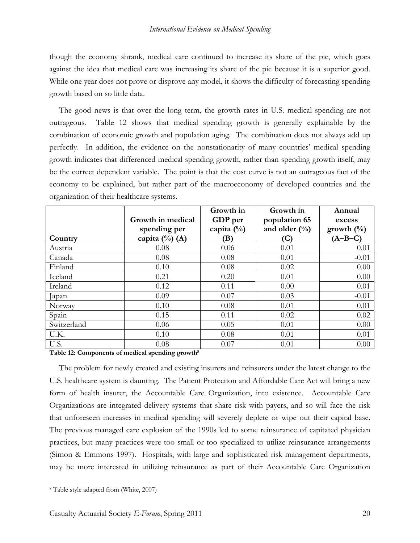though the economy shrank, medical care continued to increase its share of the pie, which goes against the idea that medical care was increasing its share of the pie because it is a superior good. While one year does not prove or disprove any model, it shows the difficulty of forecasting spending growth based on so little data.

The good news is that over the long term, the growth rates in U.S. medical spending are not outrageous. Table 12 shows that medical spending growth is generally explainable by the combination of economic growth and population aging. The combination does not always add up perfectly. In addition, the evidence on the nonstationarity of many countries' medical spending growth indicates that differenced medical spending growth, rather than spending growth itself, may be the correct dependent variable. The point is that the cost curve is not an outrageous fact of the economy to be explained, but rather part of the macroeconomy of developed countries and the organization of their healthcare systems.

|             | Growth in medical<br>spending per | Growth in<br>GDP per<br>capita $(\%)$ | Growth in<br>population 65<br>and older $(\frac{0}{0})$ | Annual<br>excess<br>growth $(\%)$ |
|-------------|-----------------------------------|---------------------------------------|---------------------------------------------------------|-----------------------------------|
| Country     | capita $(\%)$ (A)                 | (B)                                   | (C)                                                     | $(A-B-C)$                         |
| Austria     | 0.08                              | 0.06                                  | 0.01                                                    | 0.01                              |
| Canada      | 0.08                              | 0.08                                  | 0.01                                                    | $-0.01$                           |
| Finland     | 0.10                              | 0.08                                  | 0.02                                                    | 0.00                              |
| Iceland     | 0.21                              | 0.20                                  | 0.01                                                    | 0.00                              |
| Ireland     | 0.12                              | 0.11                                  | 0.00                                                    | 0.01                              |
| Japan       | 0.09                              | 0.07                                  | 0.03                                                    | $-0.01$                           |
| Norway      | 0.10                              | 0.08                                  | 0.01                                                    | 0.01                              |
| Spain       | 0.15                              | 0.11                                  | 0.02                                                    | 0.02                              |
| Switzerland | 0.06                              | 0.05                                  | 0.01                                                    | 0.00                              |
| U.K.        | 0.10                              | 0.08                                  | 0.01                                                    | 0.01                              |
| U.S.        | 0.08                              | 0.07                                  | 0.01                                                    | 0.00                              |

**Table 12: Components of medical spending growth8**

The problem for newly created and existing insurers and reinsurers under the latest change to the U.S. healthcare system is daunting. The Patient Protection and Affordable Care Act will bring a new form of health insurer, the Accountable Care Organization, into existence. Accountable Care Organizations are integrated delivery systems that share risk with payers, and so will face the risk that unforeseen increases in medical spending will severely deplete or wipe out their capital base. The previous managed care explosion of the 1990s led to some reinsurance of capitated physician practices, but many practices were too small or too specialized to utilize reinsurance arrangements (Simon & Emmons 1997). Hospitals, with large and sophisticated risk management departments, may be more interested in utilizing reinsurance as part of their Accountable Care Organization

<sup>8</sup> Table style adapted from (White, 2007)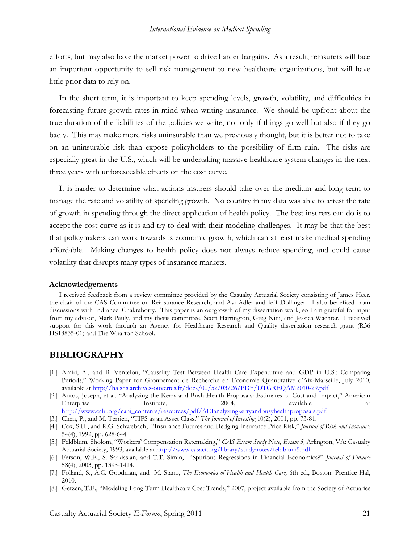efforts, but may also have the market power to drive harder bargains. As a result, reinsurers will face an important opportunity to sell risk management to new healthcare organizations, but will have little prior data to rely on.

In the short term, it is important to keep spending levels, growth, volatility, and difficulties in forecasting future growth rates in mind when writing insurance. We should be upfront about the true duration of the liabilities of the policies we write, not only if things go well but also if they go badly. This may make more risks uninsurable than we previously thought, but it is better not to take on an uninsurable risk than expose policyholders to the possibility of firm ruin. The risks are especially great in the U.S., which will be undertaking massive healthcare system changes in the next three years with unforeseeable effects on the cost curve.

It is harder to determine what actions insurers should take over the medium and long term to manage the rate and volatility of spending growth. No country in my data was able to arrest the rate of growth in spending through the direct application of health policy. The best insurers can do is to accept the cost curve as it is and try to deal with their modeling challenges. It may be that the best that policymakers can work towards is economic growth, which can at least make medical spending affordable. Making changes to health policy does not always reduce spending, and could cause volatility that disrupts many types of insurance markets.

#### **Acknowledgements**

I received feedback from a review committee provided by the Casualty Actuarial Society consisting of James Heer, the chair of the CAS Committee on Reinsurance Research, and Avi Adler and Jeff Dollinger. I also benefited from discussions with Indraneel Chakraborty. This paper is an outgrowth of my dissertation work, so I am grateful for input from my advisor, Mark Pauly, and my thesis committee, Scott Harrington, Greg Nini, and Jessica Wachter. I received support for this work through an Agency for Healthcare Research and Quality dissertation research grant (R36) HS18835-01) and The Wharton School.

## **BIBLIOGRAPHY**

- [1.] Amiri, A., and B. Ventelou, "Causality Test Between Health Care Expenditure and GDP in U.S.: Comparing Periods," Working Paper for Groupement de Recherche en Economie Quantitative d'Aix-Marseille, July 2010, available at http://halshs.archives-ouvertes.fr/docs/00/52/03/26/PDF/DTGREQAM2010-29.pdf.
- [2.] Antos, Joseph, et al. "Analyzing the Kerry and Bush Health Proposals: Estimates of Cost and Impact," American Enterprise Institute, 2004, available at the at http://www.cahi.org/cahi\_contents/resources/pdf/AEIanalyzingkerryandbusyhealthproposals.pdf.
- [3.] Chen, P., and M. Terrien, "TIPS as an Asset Class." *The Journal of Investing* 10(2), 2001, pp. 73-81.
- [4.] Cox, S.H., and R.G. Schwebach, "Insurance Futures and Hedging Insurance Price Risk," *Journal of Risk and Insurance* 54(4), 1992, pp. 628-644.
- [5.] Feldblum, Sholom, "Workers' Compensation Ratemaking," *CAS Exam Study Note, Exam 5,* Arlington, VA: Casualty Actuarial Society, 1993, available at http://www.casact.org/library/studynotes/feldblum5.pdf.
- [6.] Ferson, W.E., S. Sarkissian, and T.T. Simin, "Spurious Regressions in Financial Economics?" *Journal of Finance* 58(4), 2003, pp. 1393-1414.
- [7.] Folland, S., A.C. Goodman, and M. Stano, *The Economics of Health and Health Care,* 6th ed., Boston: Prentice Hal, 2010.
- [8.] Getzen, T.E., "Modeling Long Term Healthcare Cost Trends," 2007, project available from the Society of Actuaries